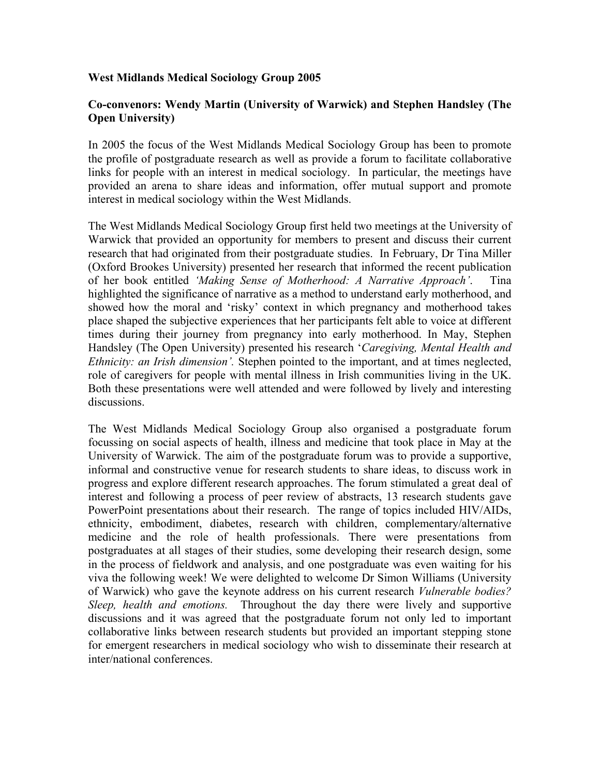## **West Midlands Medical Sociology Group 2005**

## **Co-convenors: Wendy Martin (University of Warwick) and Stephen Handsley (The Open University)**

In 2005 the focus of the West Midlands Medical Sociology Group has been to promote the profile of postgraduate research as well as provide a forum to facilitate collaborative links for people with an interest in medical sociology. In particular, the meetings have provided an arena to share ideas and information, offer mutual support and promote interest in medical sociology within the West Midlands.

The West Midlands Medical Sociology Group first held two meetings at the University of Warwick that provided an opportunity for members to present and discuss their current research that had originated from their postgraduate studies. In February, Dr Tina Miller (Oxford Brookes University) presented her research that informed the recent publication of her book entitled *'Making Sense of Motherhood: A Narrative Approach'*. Tina highlighted the significance of narrative as a method to understand early motherhood, and showed how the moral and 'risky' context in which pregnancy and motherhood takes place shaped the subjective experiences that her participants felt able to voice at different times during their journey from pregnancy into early motherhood. In May, Stephen Handsley (The Open University) presented his research '*Caregiving, Mental Health and Ethnicity: an Irish dimension'.* Stephen pointed to the important, and at times neglected, role of caregivers for people with mental illness in Irish communities living in the UK. Both these presentations were well attended and were followed by lively and interesting discussions.

The West Midlands Medical Sociology Group also organised a postgraduate forum focussing on social aspects of health, illness and medicine that took place in May at the University of Warwick. The aim of the postgraduate forum was to provide a supportive, informal and constructive venue for research students to share ideas, to discuss work in progress and explore different research approaches. The forum stimulated a great deal of interest and following a process of peer review of abstracts, 13 research students gave PowerPoint presentations about their research. The range of topics included HIV/AIDs, ethnicity, embodiment, diabetes, research with children, complementary/alternative medicine and the role of health professionals. There were presentations from postgraduates at all stages of their studies, some developing their research design, some in the process of fieldwork and analysis, and one postgraduate was even waiting for his viva the following week! We were delighted to welcome Dr Simon Williams (University of Warwick) who gave the keynote address on his current research *Vulnerable bodies? Sleep, health and emotions.* Throughout the day there were lively and supportive discussions and it was agreed that the postgraduate forum not only led to important collaborative links between research students but provided an important stepping stone for emergent researchers in medical sociology who wish to disseminate their research at inter/national conferences.